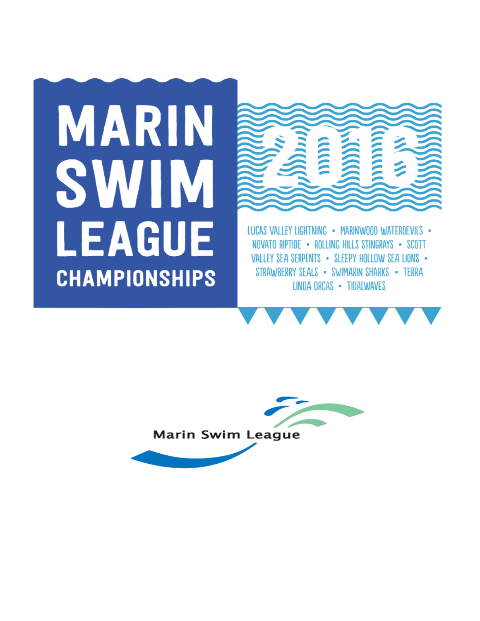# **MARIN** SWIM **LEAGUE CHAMPIONSHIPS**



LUCAS VALLEY LIGHTNING • MARINWOOD WATERDEVILS • NOVATO RIPTIDE . ROLLING HILLS STINGRAYS . SCOTT VALLEY SEA SERPENTS . SLEEPY HOLLOW SEA LIONS . STRAWBERRY SEALS • SWIMARIN SHARKS • TERRA LINDA ORCAS . TIDALWAVES



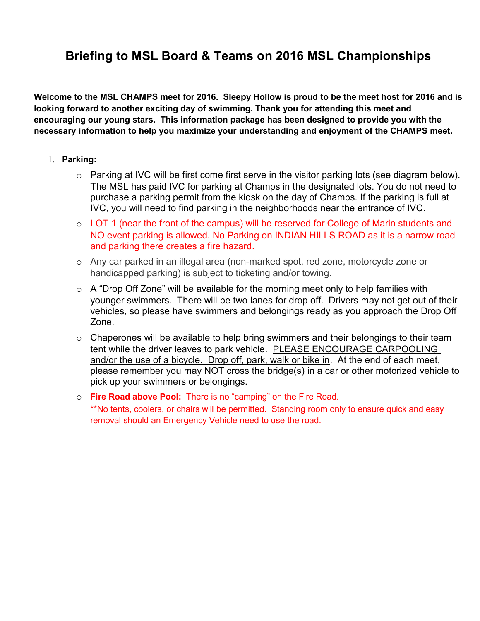# **Briefing to MSL Board & Teams on 2016 MSL Championships**

**Welcome to the MSL CHAMPS meet for 2016. Sleepy Hollow is proud to be the meet host for 2016 and is looking forward to another exciting day of swimming. Thank you for attending this meet and encouraging our young stars. This information package has been designed to provide you with the necessary information to help you maximize your understanding and enjoyment of the CHAMPS meet.**

# 1. **Parking:**

- $\circ$  Parking at IVC will be first come first serve in the visitor parking lots (see diagram below). The MSL has paid IVC for parking at Champs in the designated lots. You do not need to purchase a parking permit from the kiosk on the day of Champs. If the parking is full at IVC, you will need to find parking in the neighborhoods near the entrance of IVC.
- o LOT 1 (near the front of the campus) will be reserved for College of Marin students and NO event parking is allowed. No Parking on INDIAN HILLS ROAD as it is a narrow road and parking there creates a fire hazard.
- o Any car parked in an illegal area (non-marked spot, red zone, motorcycle zone or handicapped parking) is subject to ticketing and/or towing.
- $\circ$  A "Drop Off Zone" will be available for the morning meet only to help families with younger swimmers. There will be two lanes for drop off. Drivers may not get out of their vehicles, so please have swimmers and belongings ready as you approach the Drop Off Zone.
- $\circ$  Chaperones will be available to help bring swimmers and their belongings to their team tent while the driver leaves to park vehicle. PLEASE ENCOURAGE CARPOOLING and/or the use of a bicycle. Drop off, park, walk or bike in. At the end of each meet, please remember you may NOT cross the bridge(s) in a car or other motorized vehicle to pick up your swimmers or belongings.
- o **Fire Road above Pool:** There is no "camping" on the Fire Road. \*\*No tents, coolers, or chairs will be permitted. Standing room only to ensure quick and easy removal should an Emergency Vehicle need to use the road.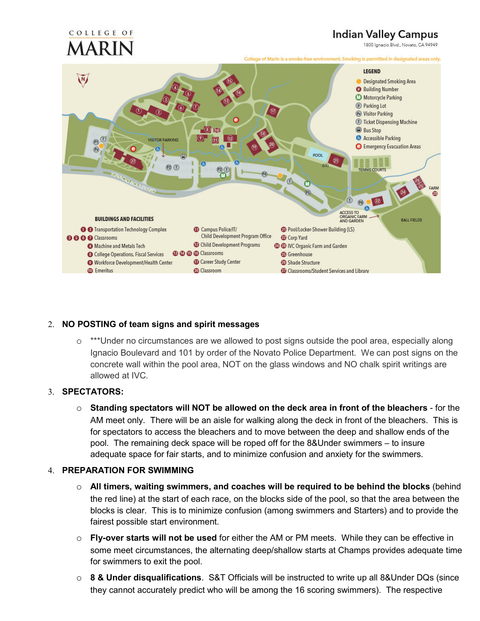# **Indian Valley Campus**

1800 Ignacio Blvd., Novato, CA 94949



# 2. **NO POSTING of team signs and spirit messages**

o \*\*\*Under no circumstances are we allowed to post signs outside the pool area, especially along Ignacio Boulevard and 101 by order of the Novato Police Department. We can post signs on the concrete wall within the pool area, NOT on the glass windows and NO chalk spirit writings are allowed at IVC.

# 3. **SPECTATORS:**

COLLEGE OF

o **Standing spectators will NOT be allowed on the deck area in front of the bleachers** - for the AM meet only. There will be an aisle for walking along the deck in front of the bleachers. This is for spectators to access the bleachers and to move between the deep and shallow ends of the pool. The remaining deck space will be roped off for the 8&Under swimmers – to insure adequate space for fair starts, and to minimize confusion and anxiety for the swimmers.

# 4. **PREPARATION FOR SWIMMING**

- o **All timers, waiting swimmers, and coaches will be required to be behind the blocks** (behind the red line) at the start of each race, on the blocks side of the pool, so that the area between the blocks is clear. This is to minimize confusion (among swimmers and Starters) and to provide the fairest possible start environment.
- o **Fly-over starts will not be used** for either the AM or PM meets. While they can be effective in some meet circumstances, the alternating deep/shallow starts at Champs provides adequate time for swimmers to exit the pool.
- o **8 & Under disqualifications**. S&T Officials will be instructed to write up all 8&Under DQs (since they cannot accurately predict who will be among the 16 scoring swimmers). The respective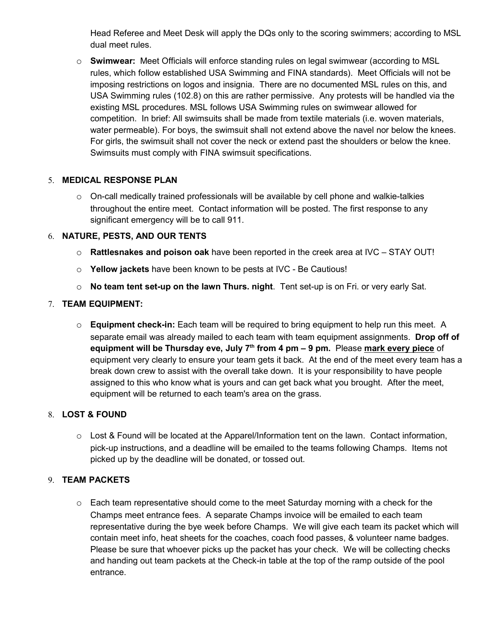Head Referee and Meet Desk will apply the DQs only to the scoring swimmers; according to MSL dual meet rules.

o **Swimwear:** Meet Officials will enforce standing rules on legal swimwear (according to MSL rules, which follow established USA Swimming and FINA standards). Meet Officials will not be imposing restrictions on logos and insignia. There are no documented MSL rules on this, and USA Swimming rules (102.8) on this are rather permissive. Any protests will be handled via the existing MSL procedures. MSL follows USA Swimming rules on swimwear allowed for competition. In brief: All swimsuits shall be made from textile materials (i.e. woven materials, water permeable). For boys, the swimsuit shall not extend above the navel nor below the knees. For girls, the swimsuit shall not cover the neck or extend past the shoulders or below the knee. Swimsuits must comply with FINA swimsuit specifications.

# 5. **MEDICAL RESPONSE PLAN**

 $\circ$  On-call medically trained professionals will be available by cell phone and walkie-talkies throughout the entire meet. Contact information will be posted. The first response to any significant emergency will be to call 911.

# 6. **NATURE, PESTS, AND OUR TENTS**

- o **Rattlesnakes and poison oak** have been reported in the creek area at IVC STAY OUT!
- o **Yellow jackets** have been known to be pests at IVC Be Cautious!
- o **No team tent set-up on the lawn Thurs. night**. Tent set-up is on Fri. or very early Sat.

# 7. **TEAM EQUIPMENT:**

o **Equipment check-in:** Each team will be required to bring equipment to help run this meet. A separate email was already mailed to each team with team equipment assignments. **Drop off of equipment will be Thursday eve, July 7th from 4 pm – 9 pm.** Please **mark every piece** of equipment very clearly to ensure your team gets it back. At the end of the meet every team has a break down crew to assist with the overall take down. It is your responsibility to have people assigned to this who know what is yours and can get back what you brought. After the meet, equipment will be returned to each team's area on the grass.

# 8. **LOST & FOUND**

o Lost & Found will be located at the Apparel/Information tent on the lawn. Contact information, pick-up instructions, and a deadline will be emailed to the teams following Champs. Items not picked up by the deadline will be donated, or tossed out.

# 9. **TEAM PACKETS**

 $\circ$  Each team representative should come to the meet Saturday morning with a check for the Champs meet entrance fees. A separate Champs invoice will be emailed to each team representative during the bye week before Champs. We will give each team its packet which will contain meet info, heat sheets for the coaches, coach food passes, & volunteer name badges. Please be sure that whoever picks up the packet has your check. We will be collecting checks and handing out team packets at the Check-in table at the top of the ramp outside of the pool entrance.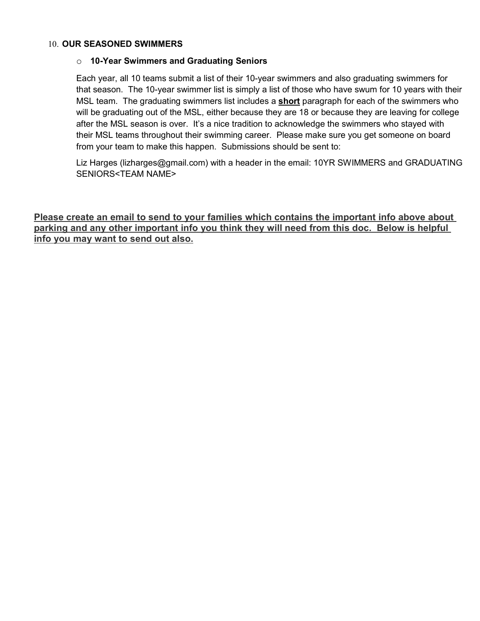# 10. **OUR SEASONED SWIMMERS**

# o **10-Year Swimmers and Graduating Seniors**

Each year, all 10 teams submit a list of their 10-year swimmers and also graduating swimmers for that season. The 10-year swimmer list is simply a list of those who have swum for 10 years with their MSL team. The graduating swimmers list includes a **short** paragraph for each of the swimmers who will be graduating out of the MSL, either because they are 18 or because they are leaving for college after the MSL season is over. It's a nice tradition to acknowledge the swimmers who stayed with their MSL teams throughout their swimming career. Please make sure you get someone on board from your team to make this happen. Submissions should be sent to:

Liz Harges (lizharges@gmail.com) with a header in the email: 10YR SWIMMERS and GRADUATING SENIORS<TEAM NAME>

**Please create an email to send to your families which contains the important info above about parking and any other important info you think they will need from this doc. Below is helpful info you may want to send out also.**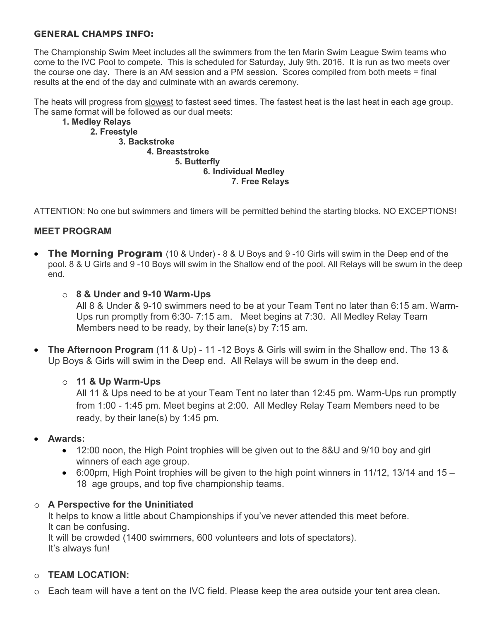# **GENERAL CHAMPS INFO:**

The Championship Swim Meet includes all the swimmers from the ten Marin Swim League Swim teams who come to the IVC Pool to compete. This is scheduled for Saturday, July 9th. 2016. It is run as two meets over the course one day. There is an AM session and a PM session. Scores compiled from both meets = final results at the end of the day and culminate with an awards ceremony.

The heats will progress from slowest to fastest seed times. The fastest heat is the last heat in each age group. The same format will be followed as our dual meets:

# **1. Medley Relays 2. Freestyle 3. Backstroke 4. Breaststroke 5. Butterfly 6. Individual Medley 7. Free Relays**

ATTENTION: No one but swimmers and timers will be permitted behind the starting blocks. NO EXCEPTIONS!

# **MEET PROGRAM**

• **The Morning Program** (10 & Under) - 8 & U Boys and 9 -10 Girls will swim in the Deep end of the pool. 8 & U Girls and 9 -10 Boys will swim in the Shallow end of the pool. All Relays will be swum in the deep end.

# o **8 & Under and 9-10 Warm-Ups**

All 8 & Under & 9-10 swimmers need to be at your Team Tent no later than 6:15 am. Warm-Ups run promptly from 6:30- 7:15 am. Meet begins at 7:30. All Medley Relay Team Members need to be ready, by their lane(s) by 7:15 am.

• **The Afternoon Program** (11 & Up) - 11 -12 Boys & Girls will swim in the Shallow end. The 13 & Up Boys & Girls will swim in the Deep end. All Relays will be swum in the deep end.

# o **11 & Up Warm-Ups**

All 11 & Ups need to be at your Team Tent no later than 12:45 pm. Warm-Ups run promptly from 1:00 - 1:45 pm. Meet begins at 2:00. All Medley Relay Team Members need to be ready, by their lane(s) by 1:45 pm.

# • **Awards:**

- 12:00 noon, the High Point trophies will be given out to the 8&U and 9/10 boy and girl winners of each age group.
- 6:00pm, High Point trophies will be given to the high point winners in 11/12, 13/14 and 15 18 age groups, and top five championship teams.

# o **A Perspective for the Uninitiated**

It helps to know a little about Championships if you've never attended this meet before. It can be confusing. It will be crowded (1400 swimmers, 600 volunteers and lots of spectators).

It's always fun!

# o **TEAM LOCATION:**

o Each team will have a tent on the IVC field. Please keep the area outside your tent area clean**.**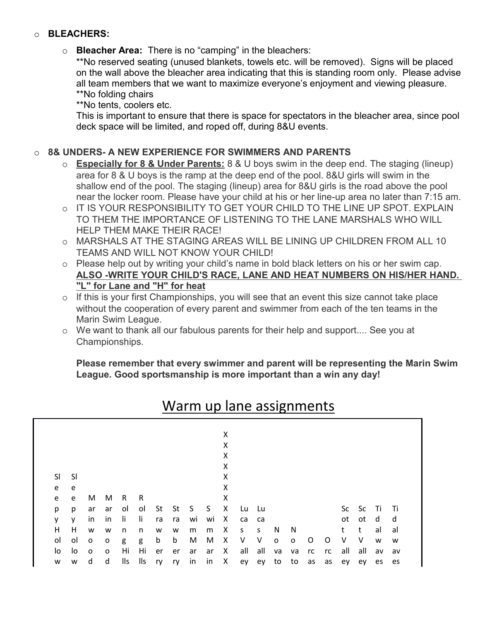# o **BLEACHERS:**

# o **Bleacher Area:** There is no "camping" in the bleachers:

\*\*No reserved seating (unused blankets, towels etc. will be removed). Signs will be placed on the wall above the bleacher area indicating that this is standing room only. Please advise all team members that we want to maximize everyone's enjoyment and viewing pleasure. \*\*No folding chairs

\*\*No tents, coolers etc.

This is important to ensure that there is space for spectators in the bleacher area, since pool deck space will be limited, and roped off, during 8&U events.

# o **8& UNDERS- A NEW EXPERIENCE FOR SWIMMERS AND PARENTS**

- o **Especially for 8 & Under Parents:** 8 & U boys swim in the deep end. The staging (lineup) area for 8 & U boys is the ramp at the deep end of the pool. 8&U girls will swim in the shallow end of the pool. The staging (lineup) area for 8&U girls is the road above the pool near the locker room. Please have your child at his or her line-up area no later than 7:15 am.
- o IT IS YOUR RESPONSIBILITY TO GET YOUR CHILD TO THE LINE UP SPOT. EXPLAIN TO THEM THE IMPORTANCE OF LISTENING TO THE LANE MARSHALS WHO WILL HELP THEM MAKE THEIR RACE!
- o MARSHALS AT THE STAGING AREAS WILL BE LINING UP CHILDREN FROM ALL 10 TEAMS AND WILL NOT KNOW YOUR CHILD!
- o Please help out by writing your child's name in bold black letters on his or her swim cap. **ALSO -WRITE YOUR CHILD'S RACE, LANE AND HEAT NUMBERS ON HIS/HER HAND. "L" for Lane and "H" for heat**
- o If this is your first Championships, you will see that an event this size cannot take place without the cooperation of every parent and swimmer from each of the ten teams in the Marin Swim League.
- o We want to thank all our fabulous parents for their help and support.... See you at Championships.

**Please remember that every swimmer and parent will be representing the Marin Swim League. Good sportsmanship is more important than a win any day!**

|     |          |                |                         |     |           |              |    |            |         | X            |                         |               |              |              |       |   |         |          |    |      |
|-----|----------|----------------|-------------------------|-----|-----------|--------------|----|------------|---------|--------------|-------------------------|---------------|--------------|--------------|-------|---|---------|----------|----|------|
|     |          |                |                         |     |           |              |    |            |         | X            |                         |               |              |              |       |   |         |          |    |      |
|     |          |                |                         |     |           |              |    |            |         | X            |                         |               |              |              |       |   |         |          |    |      |
|     |          |                |                         |     |           |              |    |            |         | X            |                         |               |              |              |       |   |         |          |    |      |
| SI. | -SI      |                |                         |     |           |              |    |            |         | x            |                         |               |              |              |       |   |         |          |    |      |
| e   | e        |                |                         |     |           |              |    |            |         | x            |                         |               |              |              |       |   |         |          |    |      |
| e   | e        | M              | M                       | R   | R         |              |    |            |         | X            |                         |               |              |              |       |   |         |          |    |      |
| p   | p        | ar             | ar                      | ol  | ol        |              |    |            |         |              | St St S S X Lu Lu       |               |              |              |       |   |         | Sc Sc Ti |    | - Ti |
| y.  | <b>V</b> | in             | in                      | li. | -li       | ra           | ra | wi         | wi X    |              | ca ca                   |               |              |              |       |   |         | ot ot d  |    | d    |
| H.  | H        | W              | W                       | n   | n         | W            | W  | m          | m       | $\mathsf{X}$ | $S_S$                   |               | N.           | N,           |       |   | t t     |          | al | al   |
| ol  | ol       | $\mathbf{o}$   | $\mathbf{o}$            | g   | g         | $\mathsf{b}$ | b  | M          | M       | $\mathsf{X}$ | $\vee$                  | V             | $\mathsf{o}$ | $\mathsf{o}$ | O     | O | V       | $\vee$   | W  | W    |
|     |          |                |                         |     |           |              |    |            |         |              |                         |               |              |              |       |   |         |          |    |      |
| lo  | lo       | $\overline{O}$ | $\overline{\mathbf{0}}$ | Hi  | Hi        | er           |    | er ar ar X |         |              |                         | all all va va |              |              | rc rc |   | all all |          | av | av   |
| w   | W        | d              | d                       | lls | lls ry ry |              |    |            | in in X |              | ey ey to to as as ey ey |               |              |              |       |   |         |          | es | es   |

# Warm up lane assignments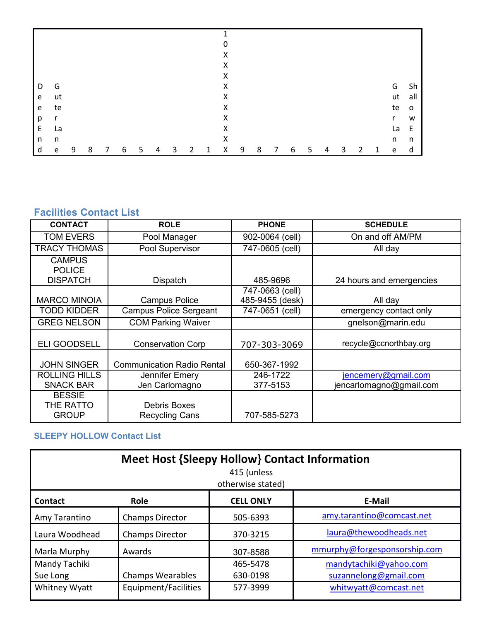|   |              |   |   |   |   |   |   |   |   |   | 0 |   |   |   |   |   |   |   |   |              |                 |                |
|---|--------------|---|---|---|---|---|---|---|---|---|---|---|---|---|---|---|---|---|---|--------------|-----------------|----------------|
|   |              |   |   |   |   |   |   |   |   |   | X |   |   |   |   |   |   |   |   |              |                 |                |
|   |              |   |   |   |   |   |   |   |   |   | X |   |   |   |   |   |   |   |   |              |                 |                |
|   |              |   |   |   |   |   |   |   |   |   | X |   |   |   |   |   |   |   |   |              |                 |                |
| D | G            |   |   |   |   |   |   |   |   |   | X |   |   |   |   |   |   |   |   |              | G               | Sh             |
| e | ut           |   |   |   |   |   |   |   |   |   | X |   |   |   |   |   |   |   |   |              | ut              | all            |
| e | te           |   |   |   |   |   |   |   |   |   | X |   |   |   |   |   |   |   |   |              | te              | $\overline{0}$ |
| р | $\mathsf{r}$ |   |   |   |   |   |   |   |   |   | X |   |   |   |   |   |   |   |   |              | $r_{\parallel}$ | W              |
| E | La           |   |   |   |   |   |   |   |   |   | X |   |   |   |   |   |   |   |   |              | La              | $\mathsf E$    |
| n | n            |   |   |   |   |   |   |   |   |   | X |   |   |   |   |   |   |   |   |              | n               | n              |
| d | ${\bf e}$    | 9 | 8 | 7 | 6 | 5 | 4 | 3 | 2 | 1 | X | 9 | 8 | 7 | 6 | 5 | 4 | 3 | 2 | $\mathbf{1}$ | e               | d              |

# **Facilities Contact List**

| <b>CONTACT</b>                             | <b>ROLE</b>                           | <b>PHONE</b>                       | <b>SCHEDULE</b>                                |
|--------------------------------------------|---------------------------------------|------------------------------------|------------------------------------------------|
| <b>TOM EVERS</b>                           | Pool Manager                          | 902-0064 (cell)                    | On and off AM/PM                               |
| <b>TRACY THOMAS</b>                        | Pool Supervisor                       | 747-0605 (cell)                    | All day                                        |
| <b>CAMPUS</b><br><b>POLICE</b>             |                                       |                                    |                                                |
| <b>DISPATCH</b>                            | Dispatch                              | 485-9696                           | 24 hours and emergencies                       |
| <b>MARCO MINOIA</b>                        | <b>Campus Police</b>                  | 747-0663 (cell)<br>485-9455 (desk) | All day                                        |
| <b>TODD KIDDER</b>                         | <b>Campus Police Sergeant</b>         | 747-0651 (cell)                    | emergency contact only                         |
| <b>GREG NELSON</b>                         | <b>COM Parking Waiver</b>             |                                    | gnelson@marin.edu                              |
| <b>ELI GOODSELL</b>                        | <b>Conservation Corp</b>              | 707-303-3069                       | recycle@ccnorthbay.org                         |
| <b>JOHN SINGER</b>                         | <b>Communication Radio Rental</b>     | 650-367-1992                       |                                                |
| <b>ROLLING HILLS</b><br><b>SNACK BAR</b>   | Jennifer Emery<br>Jen Carlomagno      | 246-1722<br>377-5153               | jencemery@gmail.com<br>jencarlomagno@gmail.com |
| <b>BESSIE</b><br>THE RATTO<br><b>GROUP</b> | Debris Boxes<br><b>Recycling Cans</b> | 707-585-5273                       |                                                |

# **SLEEPY HOLLOW Contact List**

| <b>Meet Host {Sleepy Hollow} Contact Information</b><br>415 (unless<br>otherwise stated) |                         |                  |                              |  |  |  |  |
|------------------------------------------------------------------------------------------|-------------------------|------------------|------------------------------|--|--|--|--|
| Contact                                                                                  | <b>Role</b>             | <b>CELL ONLY</b> | E-Mail                       |  |  |  |  |
| Amy Tarantino                                                                            | <b>Champs Director</b>  | 505-6393         | amy.tarantino@comcast.net    |  |  |  |  |
| Laura Woodhead                                                                           | <b>Champs Director</b>  | 370-3215         | laura@thewoodheads.net       |  |  |  |  |
| Marla Murphy                                                                             | Awards                  | 307-8588         | mmurphy@forgesponsorship.com |  |  |  |  |
| Mandy Tachiki                                                                            |                         | 465-5478         | mandytachiki@yahoo.com       |  |  |  |  |
| Sue Long                                                                                 | <b>Champs Wearables</b> | 630-0198         | suzannelong@gmail.com        |  |  |  |  |
| Whitney Wyatt                                                                            | Equipment/Facilities    | 577-3999         | whitwyatt@comcast.net        |  |  |  |  |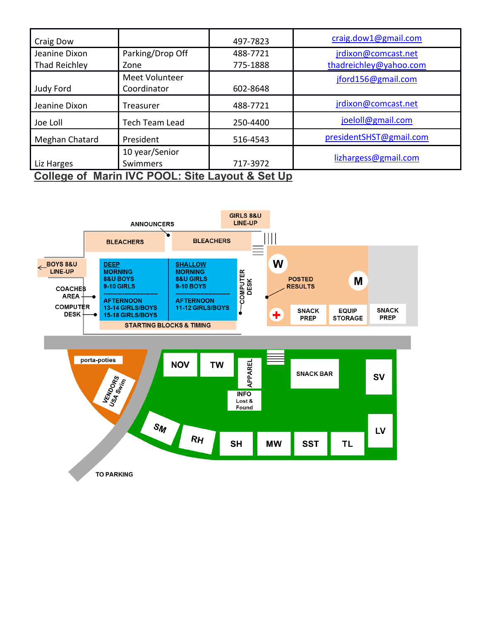| Craig Dow                                       |                       | 497-7823 | craig.dow1@gmail.com    |  |  |  |
|-------------------------------------------------|-----------------------|----------|-------------------------|--|--|--|
| Jeanine Dixon                                   | Parking/Drop Off      | 488-7721 | jrdixon@comcast.net     |  |  |  |
| Thad Reichley                                   | Zone                  | 775-1888 | thadreichley@yahoo.com  |  |  |  |
|                                                 | Meet Volunteer        |          | jford156@gmail.com      |  |  |  |
| Judy Ford                                       | Coordinator           | 602-8648 |                         |  |  |  |
| Jeanine Dixon                                   | Treasurer             | 488-7721 | jrdixon@comcast.net     |  |  |  |
| Joe Loll                                        | <b>Tech Team Lead</b> | 250-4400 | joeloll@gmail.com       |  |  |  |
| Meghan Chatard                                  | President             | 516-4543 | presidentSHST@gmail.com |  |  |  |
|                                                 | 10 year/Senior        |          |                         |  |  |  |
| Liz Harges                                      | Swimmers              | 717-3972 | lizhargess@gmail.com    |  |  |  |
| College of Marin IVC POOL: Site Layout & Set Up |                       |          |                         |  |  |  |

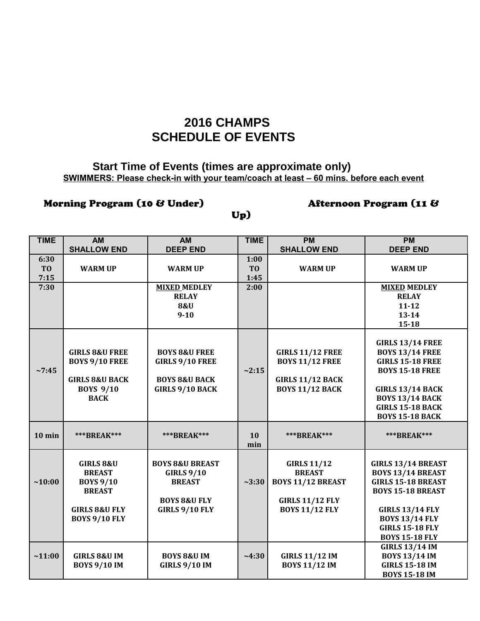# **2016 CHAMPS SCHEDULE OF EVENTS**

# **Start Time of Events (times are approximate only) SWIMMERS: Please check-in with your team/coach at least – 60 mins. before each event**

# Morning Program (10 & Under) **Afternoon Program (11 &**

# Up)

| <b>TIME</b>    | <b>AM</b>                 | AM                         | <b>TIME</b>    | <b>PM</b>                | <b>PM</b>                 |
|----------------|---------------------------|----------------------------|----------------|--------------------------|---------------------------|
|                | <b>SHALLOW END</b>        | <b>DEEP END</b>            |                | <b>SHALLOW END</b>       | <b>DEEP END</b>           |
| 6:30           |                           |                            | 1:00           |                          |                           |
| T <sub>0</sub> | <b>WARM UP</b>            | <b>WARM UP</b>             | T <sub>O</sub> | <b>WARM UP</b>           | <b>WARM UP</b>            |
| 7:15           |                           |                            | 1:45           |                          |                           |
| 7:30           |                           | <b>MIXED MEDLEY</b>        | 2:00           |                          | <b>MIXED MEDLEY</b>       |
|                |                           | <b>RELAY</b>               |                |                          | <b>RELAY</b>              |
|                |                           | <b>8&amp;U</b>             |                |                          | $11 - 12$                 |
|                |                           | $9-10$                     |                |                          | $13 - 14$                 |
|                |                           |                            |                |                          | $15 - 18$                 |
|                |                           |                            |                |                          |                           |
|                |                           |                            |                |                          | <b>GIRLS 13/14 FREE</b>   |
|                | <b>GIRLS 8&amp;U FREE</b> | <b>BOYS 8&amp;U FREE</b>   |                | <b>GIRLS 11/12 FREE</b>  | <b>BOYS 13/14 FREE</b>    |
|                | <b>BOYS 9/10 FREE</b>     | <b>GIRLS 9/10 FREE</b>     |                | <b>BOYS 11/12 FREE</b>   | <b>GIRLS 15-18 FREE</b>   |
| ~27:45         |                           |                            | ~2:15          |                          | <b>BOYS 15-18 FREE</b>    |
|                | <b>GIRLS 8&amp;U BACK</b> | <b>BOYS 8&amp;U BACK</b>   |                | <b>GIRLS 11/12 BACK</b>  |                           |
|                | <b>BOYS 9/10</b>          | <b>GIRLS 9/10 BACK</b>     |                | <b>BOYS 11/12 BACK</b>   | <b>GIRLS 13/14 BACK</b>   |
|                | <b>BACK</b>               |                            |                |                          | <b>BOYS 13/14 BACK</b>    |
|                |                           |                            |                |                          | <b>GIRLS 15-18 BACK</b>   |
|                |                           |                            |                |                          | <b>BOYS 15-18 BACK</b>    |
|                |                           |                            |                |                          |                           |
| $10$ min       | <b>***BREAK***</b>        | <b>***BREAK***</b>         | 10             | <b>***BREAK***</b>       | <b>***BREAK***</b>        |
|                |                           |                            | min            |                          |                           |
|                |                           |                            |                |                          |                           |
|                | <b>GIRLS 8&amp;U</b>      | <b>BOYS 8&amp;U BREAST</b> |                | <b>GIRLS 11/12</b>       | <b>GIRLS 13/14 BREAST</b> |
|                | <b>BREAST</b>             | <b>GIRLS 9/10</b>          |                | <b>BREAST</b>            | <b>BOYS 13/14 BREAST</b>  |
| ~10:00         | <b>BOYS 9/10</b>          | <b>BREAST</b>              | ~23:30         | <b>BOYS 11/12 BREAST</b> | <b>GIRLS 15-18 BREAST</b> |
|                | <b>BREAST</b>             |                            |                |                          | <b>BOYS 15-18 BREAST</b>  |
|                |                           | <b>BOYS 8&amp;U FLY</b>    |                | <b>GIRLS 11/12 FLY</b>   |                           |
|                | <b>GIRLS 8&amp;U FLY</b>  | <b>GIRLS 9/10 FLY</b>      |                | <b>BOYS 11/12 FLY</b>    | <b>GIRLS 13/14 FLY</b>    |
|                | <b>BOYS 9/10 FLY</b>      |                            |                |                          | <b>BOYS 13/14 FLY</b>     |
|                |                           |                            |                |                          | <b>GIRLS 15-18 FLY</b>    |
|                |                           |                            |                |                          | <b>BOYS 15-18 FLY</b>     |
|                |                           |                            |                |                          | <b>GIRLS 13/14 IM</b>     |
| ~11:00         | <b>GIRLS 8&amp;U IM</b>   | <b>BOYS 8&amp;U IM</b>     | ~1.30          | <b>GIRLS 11/12 IM</b>    | <b>BOYS 13/14 IM</b>      |
|                | <b>BOYS 9/10 IM</b>       | <b>GIRLS 9/10 IM</b>       |                | <b>BOYS 11/12 IM</b>     | <b>GIRLS 15-18 IM</b>     |
|                |                           |                            |                |                          | <b>BOYS 15-18 IM</b>      |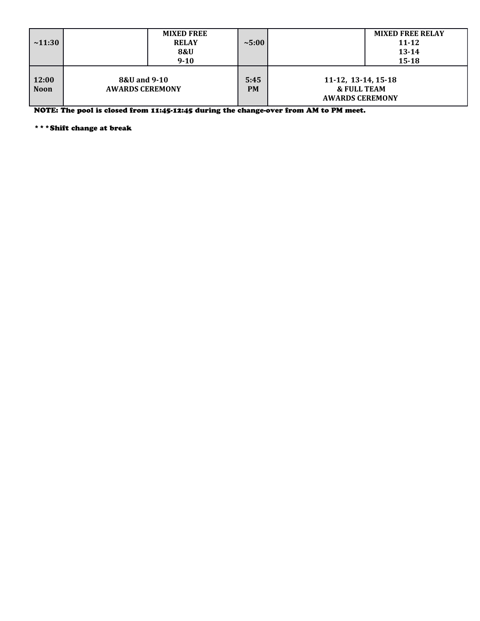| $\sim 11:30$    |                                        | <b>MIXED FREE</b><br><b>RELAY</b><br><b>8&amp;U</b><br>$9 - 10$ | ~5:00             |                                                                         | <b>MIXED FREE RELAY</b><br>$11 - 12$<br>$13 - 14$<br>$15 - 18$ |
|-----------------|----------------------------------------|-----------------------------------------------------------------|-------------------|-------------------------------------------------------------------------|----------------------------------------------------------------|
| 12:00<br>  Noon | 8&U and 9-10<br><b>AWARDS CEREMONY</b> |                                                                 | 5:45<br><b>PM</b> | 11-12, 13-14, 15-18<br><b>&amp; FULL TEAM</b><br><b>AWARDS CEREMONY</b> |                                                                |

NOTE: The pool is closed from 11:45-12:45 during the change-over from AM to PM meet.

\*\*\*Shift change at break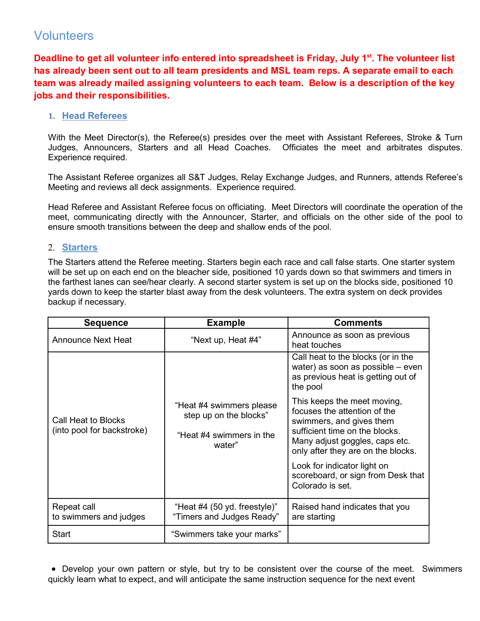# Volunteers

**Deadline to get all volunteer info entered into spreadsheet is Friday, July 1st. The volunteer list has already been sent out to all team presidents and MSL team reps. A separate email to each team was already mailed assigning volunteers to each team. Below is a description of the key jobs and their responsibilities.** 

# **1. Head Referees**

With the Meet Director(s), the Referee(s) presides over the meet with Assistant Referees, Stroke & Turn Judges, Announcers, Starters and all Head Coaches. Officiates the meet and arbitrates disputes. Experience required.

The Assistant Referee organizes all S&T Judges, Relay Exchange Judges, and Runners, attends Referee's Meeting and reviews all deck assignments. Experience required.

Head Referee and Assistant Referee focus on officiating. Meet Directors will coordinate the operation of the meet, communicating directly with the Announcer, Starter, and officials on the other side of the pool to ensure smooth transitions between the deep and shallow ends of the pool.

# 2. **Starters**

The Starters attend the Referee meeting. Starters begin each race and call false starts. One starter system will be set up on each end on the bleacher side, positioned 10 yards down so that swimmers and timers in the farthest lanes can see/hear clearly. A second starter system is set up on the blocks side, positioned 10 yards down to keep the starter blast away from the desk volunteers. The extra system on deck provides backup if necessary.

| <b>Sequence</b>                                   | <b>Example</b>                                                                           | <b>Comments</b>                                                                                                                                                                                   |  |  |  |
|---------------------------------------------------|------------------------------------------------------------------------------------------|---------------------------------------------------------------------------------------------------------------------------------------------------------------------------------------------------|--|--|--|
| <b>Announce Next Heat</b>                         | "Next up, Heat #4"                                                                       | Announce as soon as previous<br>heat touches                                                                                                                                                      |  |  |  |
|                                                   |                                                                                          | Call heat to the blocks (or in the<br>water) as soon as possible - even<br>as previous heat is getting out of<br>the pool                                                                         |  |  |  |
| Call Heat to Blocks<br>(into pool for backstroke) | "Heat #4 swimmers please<br>step up on the blocks"<br>"Heat #4 swimmers in the<br>water" | This keeps the meet moving,<br>focuses the attention of the<br>swimmers, and gives them<br>sufficient time on the blocks.<br>Many adjust goggles, caps etc.<br>only after they are on the blocks. |  |  |  |
|                                                   |                                                                                          | Look for indicator light on<br>scoreboard, or sign from Desk that<br>Colorado is set.                                                                                                             |  |  |  |
| Repeat call<br>to swimmers and judges             | "Heat #4 (50 yd. freestyle)"<br>"Timers and Judges Ready"                                | Raised hand indicates that you<br>are starting                                                                                                                                                    |  |  |  |
| <b>Start</b>                                      | "Swimmers take your marks"                                                               |                                                                                                                                                                                                   |  |  |  |

• Develop your own pattern or style, but try to be consistent over the course of the meet. Swimmers quickly learn what to expect, and will anticipate the same instruction sequence for the next event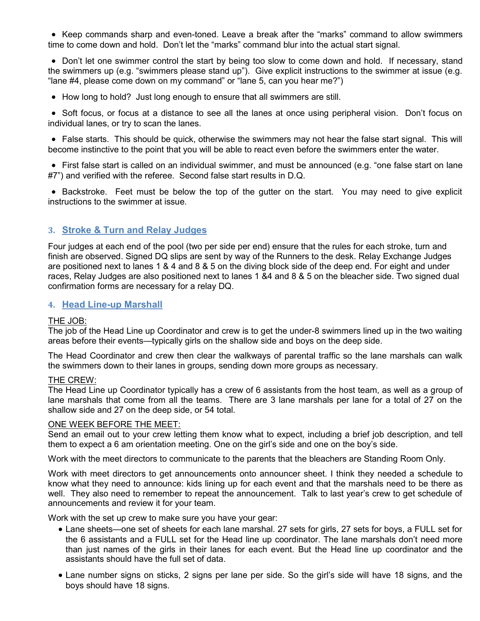• Keep commands sharp and even-toned. Leave a break after the "marks" command to allow swimmers time to come down and hold. Don't let the "marks" command blur into the actual start signal.

• Don't let one swimmer control the start by being too slow to come down and hold. If necessary, stand the swimmers up (e.g. "swimmers please stand up"). Give explicit instructions to the swimmer at issue (e.g. "lane #4, please come down on my command" or "lane 5, can you hear me?")

• How long to hold? Just long enough to ensure that all swimmers are still.

• Soft focus, or focus at a distance to see all the lanes at once using peripheral vision. Don't focus on individual lanes, or try to scan the lanes.

• False starts. This should be quick, otherwise the swimmers may not hear the false start signal. This will become instinctive to the point that you will be able to react even before the swimmers enter the water.

• First false start is called on an individual swimmer, and must be announced (e.g. "one false start on lane #7") and verified with the referee. Second false start results in D.Q.

• Backstroke. Feet must be below the top of the gutter on the start. You may need to give explicit instructions to the swimmer at issue.

# **3. Stroke & Turn and Relay Judges**

Four judges at each end of the pool (two per side per end) ensure that the rules for each stroke, turn and finish are observed. Signed DQ slips are sent by way of the Runners to the desk. Relay Exchange Judges are positioned next to lanes 1 & 4 and 8 & 5 on the diving block side of the deep end. For eight and under races, Relay Judges are also positioned next to lanes 1 &4 and 8 & 5 on the bleacher side. Two signed dual confirmation forms are necessary for a relay DQ.

# **4. Head Line-up Marshall**

# THE JOB:

The job of the Head Line up Coordinator and crew is to get the under-8 swimmers lined up in the two waiting areas before their events—typically girls on the shallow side and boys on the deep side.

The Head Coordinator and crew then clear the walkways of parental traffic so the lane marshals can walk the swimmers down to their lanes in groups, sending down more groups as necessary.

# THE CREW:

The Head Line up Coordinator typically has a crew of 6 assistants from the host team, as well as a group of lane marshals that come from all the teams. There are 3 lane marshals per lane for a total of 27 on the shallow side and 27 on the deep side, or 54 total.

# ONE WEEK BEFORE THE MEET:

Send an email out to your crew letting them know what to expect, including a brief job description, and tell them to expect a 6 am orientation meeting. One on the girl's side and one on the boy's side.

Work with the meet directors to communicate to the parents that the bleachers are Standing Room Only.

Work with meet directors to get announcements onto announcer sheet. I think they needed a schedule to know what they need to announce: kids lining up for each event and that the marshals need to be there as well. They also need to remember to repeat the announcement. Talk to last year's crew to get schedule of announcements and review it for your team.

Work with the set up crew to make sure you have your gear:

- Lane sheets—one set of sheets for each lane marshal. 27 sets for girls, 27 sets for boys, a FULL set for the 6 assistants and a FULL set for the Head line up coordinator. The lane marshals don't need more than just names of the girls in their lanes for each event. But the Head line up coordinator and the assistants should have the full set of data.
- Lane number signs on sticks, 2 signs per lane per side. So the girl's side will have 18 signs, and the boys should have 18 signs.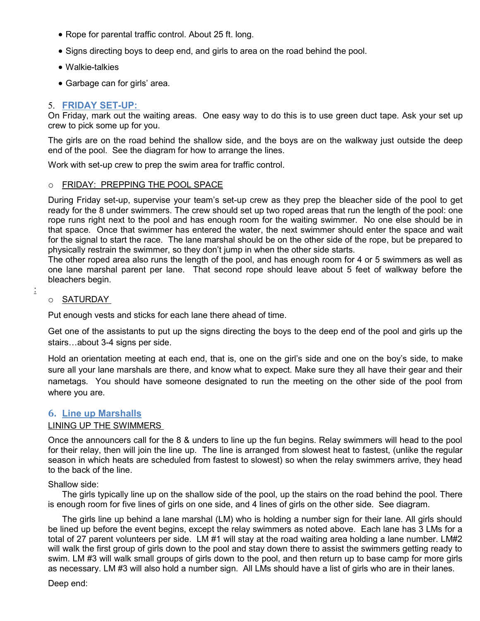- Rope for parental traffic control. About 25 ft. long.
- Signs directing boys to deep end, and girls to area on the road behind the pool.
- Walkie-talkies
- Garbage can for girls' area.

# 5. **FRIDAY SET-UP:**

On Friday, mark out the waiting areas. One easy way to do this is to use green duct tape. Ask your set up crew to pick some up for you.

The girls are on the road behind the shallow side, and the boys are on the walkway just outside the deep end of the pool. See the diagram for how to arrange the lines.

Work with set-up crew to prep the swim area for traffic control.

#### o FRIDAY: PREPPING THE POOL SPACE

During Friday set-up, supervise your team's set-up crew as they prep the bleacher side of the pool to get ready for the 8 under swimmers. The crew should set up two roped areas that run the length of the pool: one rope runs right next to the pool and has enough room for the waiting swimmer. No one else should be in that space. Once that swimmer has entered the water, the next swimmer should enter the space and wait for the signal to start the race. The lane marshal should be on the other side of the rope, but be prepared to physically restrain the swimmer, so they don't jump in when the other side starts.

The other roped area also runs the length of the pool, and has enough room for 4 or 5 swimmers as well as one lane marshal parent per lane. That second rope should leave about 5 feet of walkway before the bleachers begin.

#### o SATURDAY

:

Put enough vests and sticks for each lane there ahead of time.

Get one of the assistants to put up the signs directing the boys to the deep end of the pool and girls up the stairs...about 3-4 signs per side.

Hold an orientation meeting at each end, that is, one on the girl's side and one on the boy's side, to make sure all your lane marshals are there, and know what to expect. Make sure they all have their gear and their nametags. You should have someone designated to run the meeting on the other side of the pool from where you are.

# **6. Line up Marshalls**

# LINING UP THE SWIMMERS

Once the announcers call for the 8 & unders to line up the fun begins. Relay swimmers will head to the pool for their relay, then will join the line up. The line is arranged from slowest heat to fastest, (unlike the regular season in which heats are scheduled from fastest to slowest) so when the relay swimmers arrive, they head to the back of the line.

# Shallow side:

The girls typically line up on the shallow side of the pool, up the stairs on the road behind the pool. There is enough room for five lines of girls on one side, and 4 lines of girls on the other side. See diagram.

The girls line up behind a lane marshal (LM) who is holding a number sign for their lane. All girls should be lined up before the event begins, except the relay swimmers as noted above. Each lane has 3 LMs for a total of 27 parent volunteers per side. LM #1 will stay at the road waiting area holding a lane number. LM#2 will walk the first group of girls down to the pool and stay down there to assist the swimmers getting ready to swim. LM #3 will walk small groups of girls down to the pool, and then return up to base camp for more girls as necessary. LM #3 will also hold a number sign. All LMs should have a list of girls who are in their lanes.

Deep end: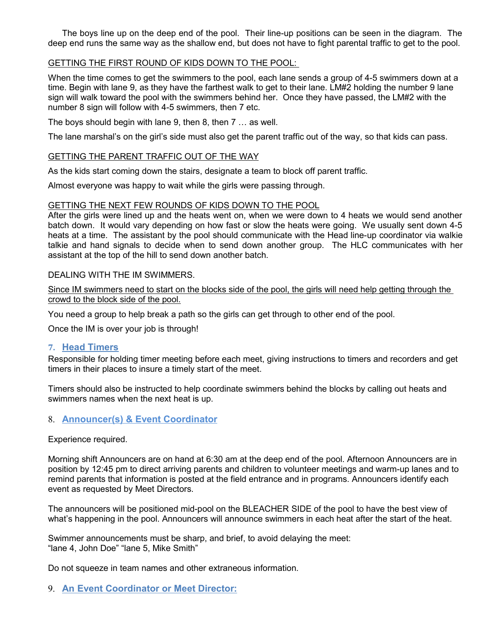The boys line up on the deep end of the pool. Their line-up positions can be seen in the diagram. The deep end runs the same way as the shallow end, but does not have to fight parental traffic to get to the pool.

# GETTING THE FIRST ROUND OF KIDS DOWN TO THE POOL:

When the time comes to get the swimmers to the pool, each lane sends a group of 4-5 swimmers down at a time. Begin with lane 9, as they have the farthest walk to get to their lane. LM#2 holding the number 9 lane sign will walk toward the pool with the swimmers behind her. Once they have passed, the LM#2 with the number 8 sign will follow with 4-5 swimmers, then 7 etc.

The boys should begin with lane 9, then  $8$ , then  $7 \ldots$  as well.

The lane marshal's on the girl's side must also get the parent traffic out of the way, so that kids can pass.

# GETTING THE PARENT TRAFFIC OUT OF THE WAY

As the kids start coming down the stairs, designate a team to block off parent traffic.

Almost everyone was happy to wait while the girls were passing through.

# GETTING THE NEXT FEW ROUNDS OF KIDS DOWN TO THE POOL

After the girls were lined up and the heats went on, when we were down to 4 heats we would send another batch down. It would vary depending on how fast or slow the heats were going. We usually sent down 4-5 heats at a time. The assistant by the pool should communicate with the Head line-up coordinator via walkie talkie and hand signals to decide when to send down another group. The HLC communicates with her assistant at the top of the hill to send down another batch.

# DEALING WITH THE IM SWIMMERS.

Since IM swimmers need to start on the blocks side of the pool, the girls will need help getting through the crowd to the block side of the pool.

You need a group to help break a path so the girls can get through to other end of the pool.

Once the IM is over your job is through!

# **7. Head Timers**

Responsible for holding timer meeting before each meet, giving instructions to timers and recorders and get timers in their places to insure a timely start of the meet.

Timers should also be instructed to help coordinate swimmers behind the blocks by calling out heats and swimmers names when the next heat is up.

# 8. **Announcer(s) & Event Coordinator**

Experience required.

Morning shift Announcers are on hand at 6:30 am at the deep end of the pool. Afternoon Announcers are in position by 12:45 pm to direct arriving parents and children to volunteer meetings and warm-up lanes and to remind parents that information is posted at the field entrance and in programs. Announcers identify each event as requested by Meet Directors.

The announcers will be positioned mid-pool on the BLEACHER SIDE of the pool to have the best view of what's happening in the pool. Announcers will announce swimmers in each heat after the start of the heat.

Swimmer announcements must be sharp, and brief, to avoid delaying the meet: "lane 4, John Doe" "lane 5, Mike Smith"

Do not squeeze in team names and other extraneous information.

9. **An Event Coordinator or Meet Director:**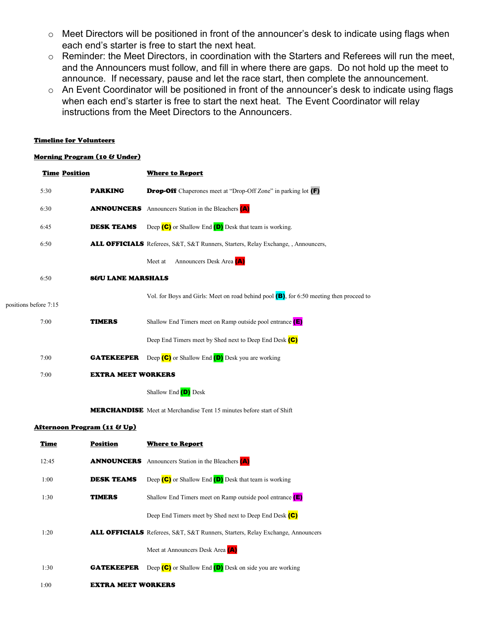- o Meet Directors will be positioned in front of the announcer's desk to indicate using flags when each end's starter is free to start the next heat.
- o Reminder: the Meet Directors, in coordination with the Starters and Referees will run the meet, and the Announcers must follow, and fill in where there are gaps. Do not hold up the meet to announce. If necessary, pause and let the race start, then complete the announcement.
- o An Event Coordinator will be positioned in front of the announcer's desk to indicate using flags when each end's starter is free to start the next heat. The Event Coordinator will relay instructions from the Meet Directors to the Announcers.

#### Timeline for Volunteers

#### Morning Program (10 & Under)

| <b>Time Position</b>                   | <b>Where to Report</b>                                                                     |
|----------------------------------------|--------------------------------------------------------------------------------------------|
| 5:30<br><b>PARKING</b>                 | <b>Drop-Off</b> Chaperones meet at "Drop-Off Zone" in parking lot (F)                      |
| 6:30<br><b>ANNOUNCERS</b>              | Announcers Station in the Bleachers (A)                                                    |
| 6:45<br><b>DESK TEAMS</b>              | Deep $(C)$ or Shallow End $(D)$ Desk that team is working.                                 |
| 6:50                                   | <b>ALL OFFICIALS</b> Referees, S&T, S&T Runners, Starters, Relay Exchange, , Announcers,   |
|                                        | Announcers Desk Area (A)<br>Meet at                                                        |
| 6:50<br><b>8&amp;U LANE MARSHALS</b>   |                                                                                            |
| positions before 7:15                  | Vol. for Boys and Girls: Meet on road behind pool $(B)$ , for 6:50 meeting then proceed to |
| 7:00<br><b>TIMERS</b>                  | Shallow End Timers meet on Ramp outside pool entrance $(E)$                                |
|                                        | Deep End Timers meet by Shed next to Deep End Desk (C)                                     |
| 7:00<br><b>GATEKEEPER</b>              | Deep $(C)$ or Shallow End $(D)$ Desk you are working                                       |
| 7:00                                   | <b>EXTRA MEET WORKERS</b>                                                                  |
|                                        | Shallow End (D) Desk                                                                       |
|                                        | <b>MERCHANDISE</b> Meet at Merchandise Tent 15 minutes before start of Shift               |
| <u>Afternoon Program (11 &amp; Up)</u> |                                                                                            |
| <b>Position</b><br><u>Time</u>         | <b>Where to Report</b>                                                                     |
| 12:45<br><b>ANNOUNCERS</b>             | Announcers Station in the Bleachers (A)                                                    |
| 1:00<br><b>DESK TEAMS</b>              | Deep $(C)$ or Shallow End $(D)$ Desk that team is working                                  |
| 1:30<br><b>TIMERS</b>                  | Shallow End Timers meet on Ramp outside pool entrance $(E)$                                |
|                                        | Deep End Timers meet by Shed next to Deep End Desk (C)                                     |
| 1:20                                   | <b>ALL OFFICIALS</b> Referees, S&T, S&T Runners, Starters, Relay Exchange, Announcers      |
|                                        | Meet at Announcers Desk Area (A)                                                           |
| 1:30<br><b>GATEKEEPER</b>              | Deep $(C)$ or Shallow End $(D)$ Desk on side you are working                               |
| 1:00                                   | <b>EXTRA MEET WORKERS</b>                                                                  |